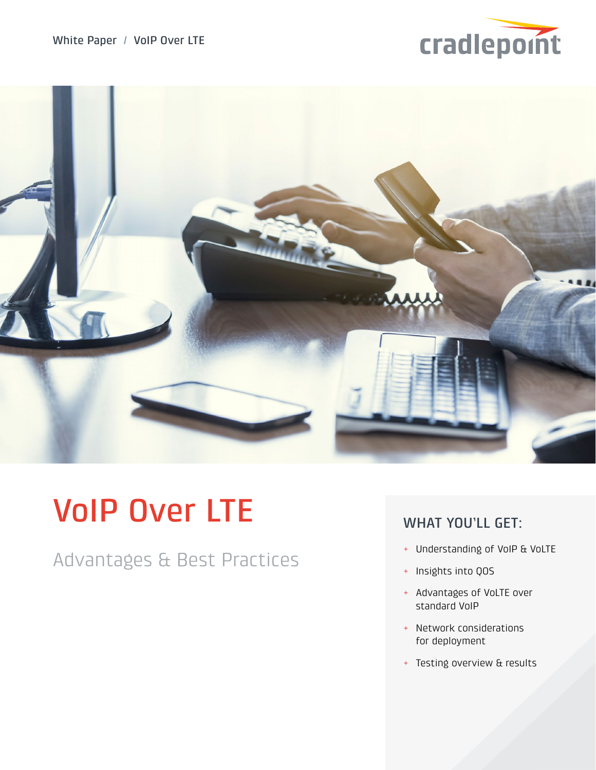



# VoIP Over LTE

Advantages & Best Practices

# WHAT YOU'LL GET:

- + Understanding of VoIP & VoLTE
- + Insights into QOS
- + Advantages of VoLTE over standard VoIP
- + Network considerations for deployment
- + Testing overview & results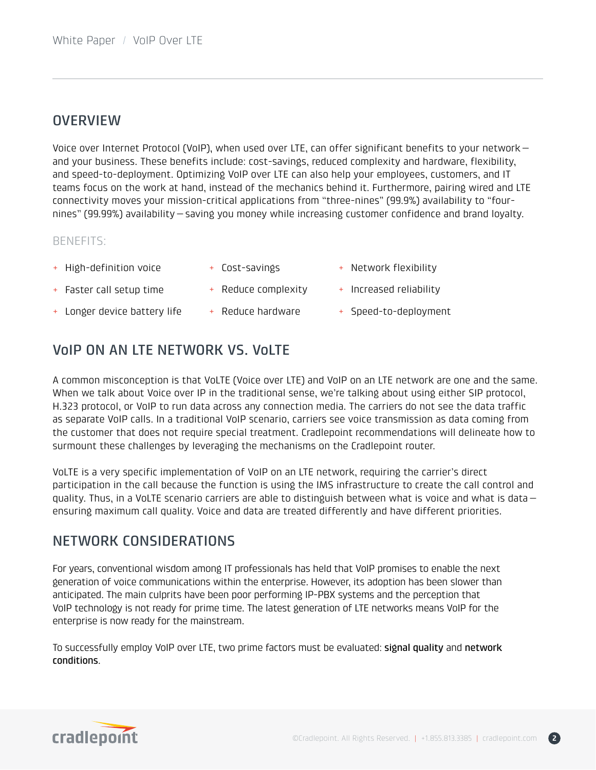## **OVERVIEW**

Voice over Internet Protocol (VoIP), when used over LTE, can offer significant benefits to your network and your business. These benefits include: cost-savings, reduced complexity and hardware, flexibility, and speed-to-deployment. Optimizing VoIP over LTE can also help your employees, customers, and IT teams focus on the work at hand, instead of the mechanics behind it. Furthermore, pairing wired and LTE connectivity moves your mission-critical applications from "three-nines" (99.9%) availability to "fournines" (99.99%) availability—saving you money while increasing customer confidence and brand loyalty.

## BENEFITS:

- + High-definition voice
- + Cost-savings
- + Network flexibility

+ Increased reliability

- + Faster call setup time + Reduce complexity
- + Longer device battery life + Reduce hardware
- 
- + Speed-to-deployment

# VoIP ON AN LTE NETWORK VS. VoLTE

A common misconception is that VoLTE (Voice over LTE) and VoIP on an LTE network are one and the same. When we talk about Voice over IP in the traditional sense, we're talking about using either SIP protocol, H.323 protocol, or VoIP to run data across any connection media. The carriers do not see the data traffic as separate VoIP calls. In a traditional VoIP scenario, carriers see voice transmission as data coming from the customer that does not require special treatment. Cradlepoint recommendations will delineate how to surmount these challenges by leveraging the mechanisms on the Cradlepoint router.

VoLTE is a very specific implementation of VoIP on an LTE network, requiring the carrier's direct participation in the call because the function is using the IMS infrastructure to create the call control and quality. Thus, in a VoLTE scenario carriers are able to distinguish between what is voice and what is data ensuring maximum call quality. Voice and data are treated differently and have different priorities.

# NETWORK CONSIDERATIONS

For years, conventional wisdom among IT professionals has held that VoIP promises to enable the next generation of voice communications within the enterprise. However, its adoption has been slower than anticipated. The main culprits have been poor performing IP-PBX systems and the perception that VoIP technology is not ready for prime time. The latest generation of LTE networks means VoIP for the enterprise is now ready for the mainstream.

To successfully employ VoIP over LTE, two prime factors must be evaluated: signal quality and network conditions.



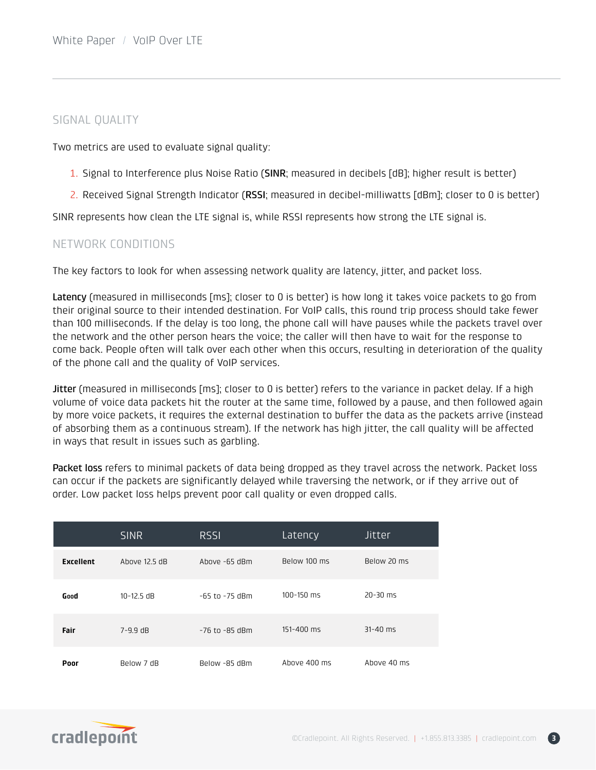## SIGNAL QUALITY

Two metrics are used to evaluate signal quality:

- 1. Signal to Interference plus Noise Ratio (SINR; measured in decibels [dB]; higher result is better)
- 2. Received Signal Strength Indicator (RSSI; measured in decibel-milliwatts [dBm]; closer to 0 is better)

SINR represents how clean the LTE signal is, while RSSI represents how strong the LTE signal is.

### NETWORK CONDITIONS

The key factors to look for when assessing network quality are latency, jitter, and packet loss.

Latency (measured in milliseconds [ms]; closer to 0 is better) is how long it takes voice packets to go from their original source to their intended destination. For VoIP calls, this round trip process should take fewer than 100 milliseconds. If the delay is too long, the phone call will have pauses while the packets travel over the network and the other person hears the voice; the caller will then have to wait for the response to come back. People often will talk over each other when this occurs, resulting in deterioration of the quality of the phone call and the quality of VoIP services.

Jitter (measured in milliseconds [ms]; closer to 0 is better) refers to the variance in packet delay. If a high volume of voice data packets hit the router at the same time, followed by a pause, and then followed again by more voice packets, it requires the external destination to buffer the data as the packets arrive (instead of absorbing them as a continuous stream). If the network has high jitter, the call quality will be affected in ways that result in issues such as garbling.

Packet loss refers to minimal packets of data being dropped as they travel across the network. Packet loss can occur if the packets are significantly delayed while traversing the network, or if they arrive out of order. Low packet loss helps prevent poor call quality or even dropped calls.

|                  | <b>SINR</b>    | <b>RSSI</b>        | Latency        | Jitter       |
|------------------|----------------|--------------------|----------------|--------------|
| <b>Excellent</b> | Above 12.5 dB  | Above -65 dBm      | Below 100 ms   | Below 20 ms  |
| Good             | $10 - 12.5$ dB | $-65$ to $-75$ dBm | $100 - 150$ ms | $20 - 30$ ms |
| Fair             | $7 - 9.9$ dB   | -76 to -85 dBm     | 151-400 ms     | $31 - 40$ ms |
| Poor             | Below 7 dB     | Below -85 dBm      | Above 400 ms   | Above 40 ms  |

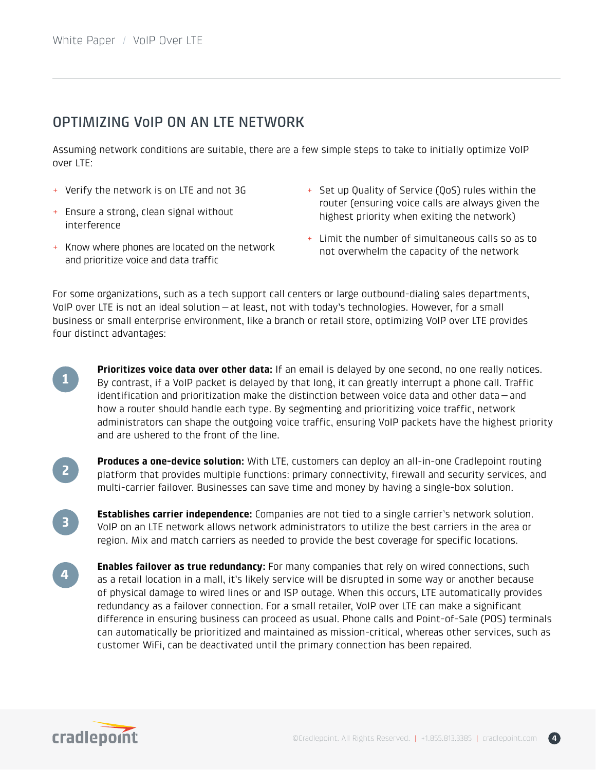# OPTIMIZING VoIP ON AN LTE NETWORK

Assuming network conditions are suitable, there are a few simple steps to take to initially optimize VoIP over LTE:

- + Verify the network is on LTE and not 3G
- + Ensure a strong, clean signal without interference
- + Set up Quality of Service (QoS) rules within the router (ensuring voice calls are always given the highest priority when exiting the network)
- + Know where phones are located on the network and prioritize voice and data traffic
- + Limit the number of simultaneous calls so as to not overwhelm the capacity of the network

For some organizations, such as a tech support call centers or large outbound-dialing sales departments, VoIP over LTE is not an ideal solution—at least, not with today's technologies. However, for a small business or small enterprise environment, like a branch or retail store, optimizing VoIP over LTE provides four distinct advantages:

- **Prioritizes voice data over other data:** If an email is delayed by one second, no one really notices. By contrast, if a VoIP packet is delayed by that long, it can greatly interrupt a phone call. Traffic identification and prioritization make the distinction between voice data and other data—and how a router should handle each type. By segmenting and prioritizing voice traffic, network administrators can shape the outgoing voice traffic, ensuring VoIP packets have the highest priority and are ushered to the front of the line. **1**
- **2**

**3**

**Produces a one-device solution:** With LTE, customers can deploy an all-in-one Cradlepoint routing platform that provides multiple functions: primary connectivity, firewall and security services, and multi-carrier failover. Businesses can save time and money by having a single-box solution.

- **Establishes carrier independence:** Companies are not tied to a single carrier's network solution. VoIP on an LTE network allows network administrators to utilize the best carriers in the area or region. Mix and match carriers as needed to provide the best coverage for specific locations.
- **Enables failover as true redundancy:** For many companies that rely on wired connections, such as a retail location in a mall, it's likely service will be disrupted in some way or another because of physical damage to wired lines or and ISP outage. When this occurs, LTE automatically provides redundancy as a failover connection. For a small retailer, VoIP over LTE can make a significant difference in ensuring business can proceed as usual. Phone calls and Point-of-Sale (POS) terminals can automatically be prioritized and maintained as mission-critical, whereas other services, such as customer WiFi, can be deactivated until the primary connection has been repaired. **4**

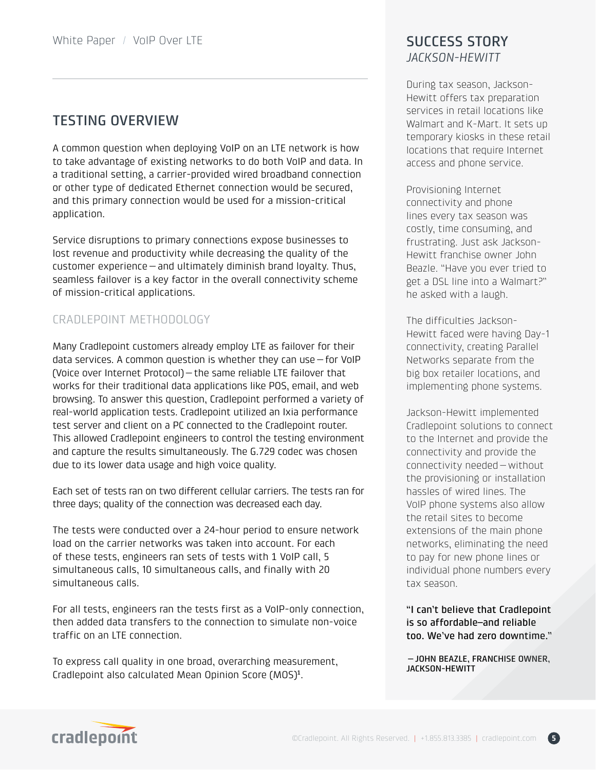# TESTING OVERVIEW

A common question when deploying VoIP on an LTE network is how to take advantage of existing networks to do both VoIP and data. In a traditional setting, a carrier-provided wired broadband connection or other type of dedicated Ethernet connection would be secured, and this primary connection would be used for a mission-critical application.

Service disruptions to primary connections expose businesses to lost revenue and productivity while decreasing the quality of the customer experience—and ultimately diminish brand loyalty. Thus, seamless failover is a key factor in the overall connectivity scheme of mission-critical applications.

# CRADLEPOINT METHODOLOGY

Many Cradlepoint customers already employ LTE as failover for their data services. A common question is whether they can use—for VoIP (Voice over Internet Protocol)—the same reliable LTE failover that works for their traditional data applications like POS, email, and web browsing. To answer this question, Cradlepoint performed a variety of real-world application tests. Cradlepoint utilized an Ixia performance test server and client on a PC connected to the Cradlepoint router. This allowed Cradlepoint engineers to control the testing environment and capture the results simultaneously. The G.729 codec was chosen due to its lower data usage and high voice quality.

Each set of tests ran on two different cellular carriers. The tests ran for three days; quality of the connection was decreased each day.

The tests were conducted over a 24-hour period to ensure network load on the carrier networks was taken into account. For each of these tests, engineers ran sets of tests with 1 VoIP call, 5 simultaneous calls, 10 simultaneous calls, and finally with 20 simultaneous calls.

For all tests, engineers ran the tests first as a VoIP-only connection, then added data transfers to the connection to simulate non-voice traffic on an LTE connection.

To express call quality in one broad, overarching measurement, Cradlepoint also calculated Mean Opinion Score (MOS)<sup>1</sup>.

# *JACKSON-HEWITT*

During tax season, Jackson-Hewitt offers tax preparation services in retail locations like Walmart and K-Mart. It sets up temporary kiosks in these retail locations that require Internet access and phone service.

Provisioning Internet connectivity and phone lines every tax season was costly, time consuming, and frustrating. Just ask Jackson-Hewitt franchise owner John Beazle. "Have you ever tried to get a DSL line into a Walmart?" he asked with a laugh.

The difficulties Jackson-Hewitt faced were having Day-1 connectivity, creating Parallel Networks separate from the big box retailer locations, and implementing phone systems.

Jackson-Hewitt implemented Cradlepoint solutions to connect to the Internet and provide the connectivity and provide the connectivity needed—without the provisioning or installation hassles of wired lines. The VoIP phone systems also allow the retail sites to become extensions of the main phone networks, eliminating the need to pay for new phone lines or individual phone numbers every tax season.

"I can't believe that Cradlepoint is so affordable–and reliable too. We've had zero downtime."

—JOHN BEAZLE, FRANCHISE OWNER, JACKSON-HEWITT

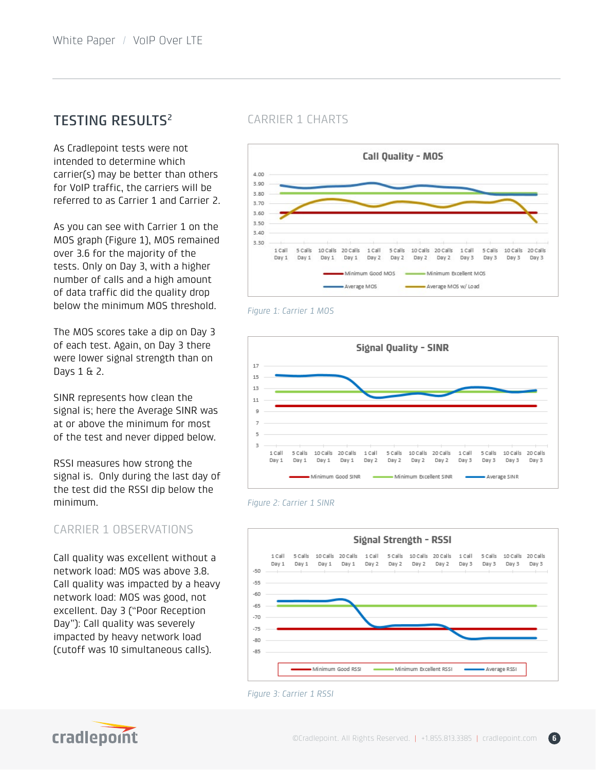# **TESTING RESULTS2**

As Cradlepoint tests were not intended to determine which carrier(s) may be better than others for VoIP traffic, the carriers will be referred to as Carrier 1 and Carrier 2.

As you can see with Carrier 1 on the MOS graph (Figure 1), MOS remained over 3.6 for the majority of the tests. Only on Day 3, with a higher number of calls and a high amount of data traffic did the quality drop below the minimum MOS threshold.

The MOS scores take a dip on Day 3 of each test. Again, on Day 3 there were lower signal strength than on Days 1 & 2.

SINR represents how clean the signal is; here the Average SINR was at or above the minimum for most of the test and never dipped below.

RSSI measures how strong the signal is. Only during the last day of the test did the RSSI dip below the minimum.

## CARRIER 1 OBSERVATIONS

Call quality was excellent without a network load: MOS was above 3.8. Call quality was impacted by a heavy network load: MOS was good, not excellent. Day 3 ("Poor Reception Day"): Call quality was severely impacted by heavy network load (cutoff was 10 simultaneous calls).

## CARRIER 1 CHARTS



#### *Figure 1: Carrier 1 MOS*







#### *Figure 3: Carrier 1 RSSI*

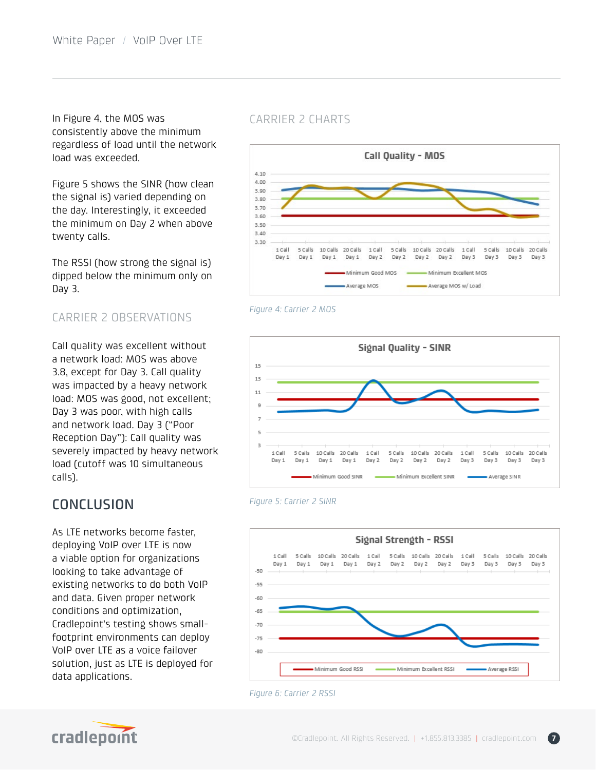In Figure 4, the MOS was consistently above the minimum regardless of load until the network load was exceeded.

Figure 5 shows the SINR (how clean the signal is) varied depending on the day. Interestingly, it exceeded the minimum on Day 2 when above twenty calls.

The RSSI (how strong the signal is) dipped below the minimum only on Day 3.

# CARRIER 2 OBSERVATIONS

Call quality was excellent without a network load: MOS was above 3.8, except for Day 3. Call quality was impacted by a heavy network load: MOS was good, not excellent; Day 3 was poor, with high calls and network load. Day 3 ("Poor Reception Day"): Call quality was severely impacted by heavy network load (cutoff was 10 simultaneous calls).

# **CONCLUSION**

As LTE networks become faster, deploying VoIP over LTE is now a viable option for organizations looking to take advantage of existing networks to do both VoIP and data. Given proper network conditions and optimization, Cradlepoint's testing shows smallfootprint environments can deploy VoIP over LTE as a voice failover solution, just as LTE is deployed for data applications.

## CARRIER 2 CHARTS



#### *Figure 4: Carrier 2 MOS*









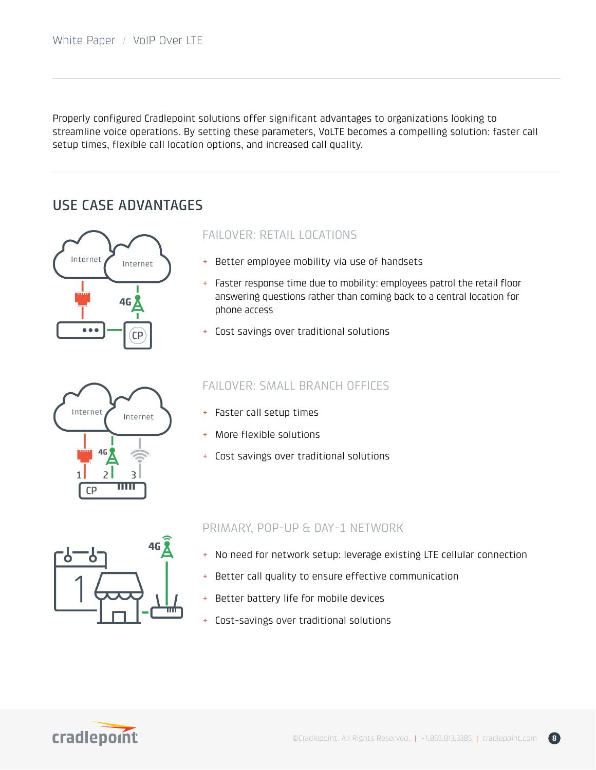Properly configured Cradlepoint solutions offer significant advantages to organizations looking to streamline voice operations. By setting these parameters, VoLTE becomes a compelling solution: faster call setup times, flexible call location options, and increased call quality.

# USE CASE ADVANTAGES



## FAILOVER: RETAIL LOCATIONS

- + Better employee mobility via use of handsets
- + Faster response time due to mobility: employees patrol the retail floor answering questions rather than coming back to a central location for phone access
- + Cost savings over traditional solutions



## FAILOVER: SMALL BRANCH OFFICES

- + Faster call setup times
- + More flexible solutions
- + Cost savings over traditional solutions



## PRIMARY, POP-UP & DAY-1 NETWORK

- + No need for network setup: leverage existing LTE cellular connection
- + Better call quality to ensure effective communication
- + Better battery life for mobile devices
- + Cost-savings over traditional solutions